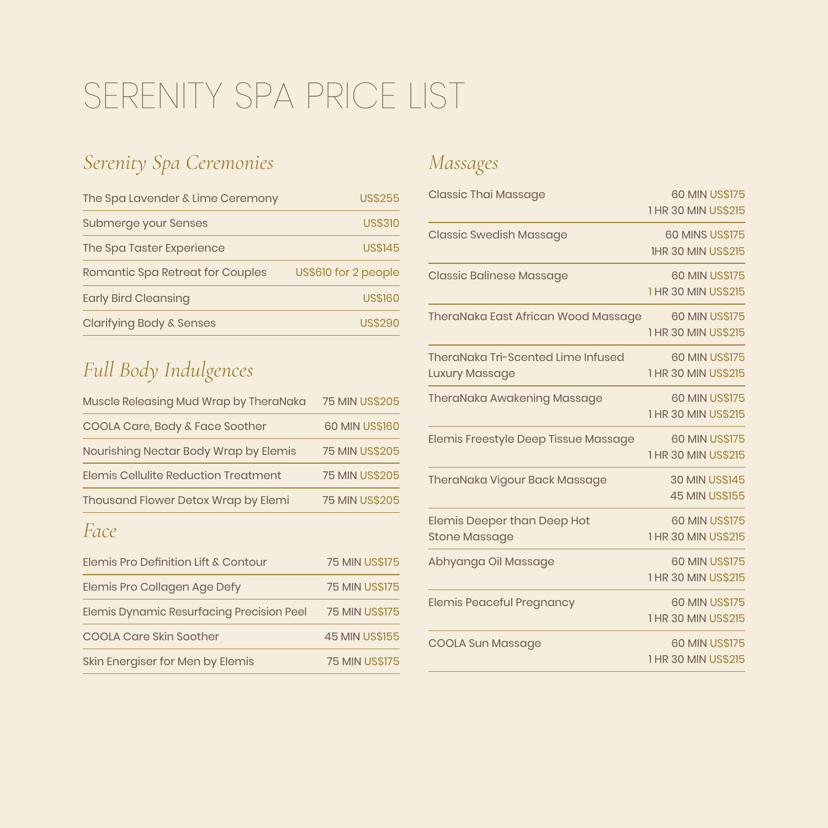# SERENITY SPA PRICE LIST

## *Serenity Spa Ceremonies*

| The Spa Lavender & Lime Ceremony    | <b>US\$255</b>       |
|-------------------------------------|----------------------|
| Submerge your Senses                | <b>US\$310</b>       |
| The Spa Taster Experience           | <b>US\$145</b>       |
| Romantic Spa Retreat for Couples    | US\$610 for 2 people |
| <b>Early Bird Cleansing</b>         | <b>US\$160</b>       |
| <b>Clarifying Body &amp; Senses</b> | <b>US\$290</b>       |

# *Full Body Indulgences*

| Muscle Releasing Mud Wrap by TheraNaka | <b>75 MIN US\$205</b> |
|----------------------------------------|-----------------------|
| COOLA Care, Body & Face Soother        | <b>60 MIN US\$160</b> |
| Nourishing Nectar Body Wrap by Elemis  | <b>75 MIN US\$205</b> |
| Elemis Cellulite Reduction Treatment   | <b>75 MIN US\$205</b> |
| Thousand Flower Detox Wrap by Elemi    | <b>75 MIN US\$205</b> |
|                                        |                       |

#### *Face*

| Elemis Pro Definition Lift & Contour      | <b>75 MIN US\$175</b> |
|-------------------------------------------|-----------------------|
| Elemis Pro Collagen Age Defy              | <b>75 MIN US\$175</b> |
| Elemis Dynamic Resurfacing Precision Peel | <b>75 MIN US\$175</b> |
| <b>COOLA Care Skin Soother</b>            | <b>45 MIN US\$155</b> |
| Skin Energiser for Men by Elemis          | <b>75 MIN US\$175</b> |

## *Massages*

| <b>Classic Thai Massage</b>                          | <b>60 MIN US\$175</b><br>1 HR 30 MIN US\$215        |
|------------------------------------------------------|-----------------------------------------------------|
| <b>Classic Swedish Massage</b>                       | <b>60 MINS US\$175</b><br><b>IHR 30 MIN US\$215</b> |
| <b>Classic Balinese Massage</b>                      | <b>60 MIN US\$175</b><br>1 HR 30 MIN US\$215        |
| TheraNaka East African Wood Massage                  | <b>60 MIN US\$175</b><br>1 HR 30 MIN US\$215        |
| TheraNaka Tri-Scented Lime Infused<br>Luxury Massage | 60 MIN US\$175<br>1 HR 30 MIN US\$215               |
| <b>TheraNaka Awakening Massage</b>                   | 60 MIN US\$175<br>1 HR 30 MIN US\$215               |
| Elemis Freestyle Deep Tissue Massage                 | <b>60 MIN US\$175</b><br>1 HR 30 MIN US\$215        |
| TheraNaka Vigour Back Massage                        | <b>30 MIN US\$145</b><br><b>45 MIN US\$155</b>      |
| Elemis Deeper than Deep Hot<br><b>Stone Massage</b>  | 60 MIN US\$175<br>1 HR 30 MIN US\$215               |
| Abhyanga Oil Massage                                 | <b>60 MIN US\$175</b><br>1 HR 30 MIN US\$215        |
| <b>Elemis Peaceful Pregnancy</b>                     | 60 MIN US\$175<br>1 HR 30 MIN US\$215               |
| <b>COOLA Sun Massage</b>                             | <b>60 MIN US\$175</b><br>1 HR 30 MIN US\$215        |